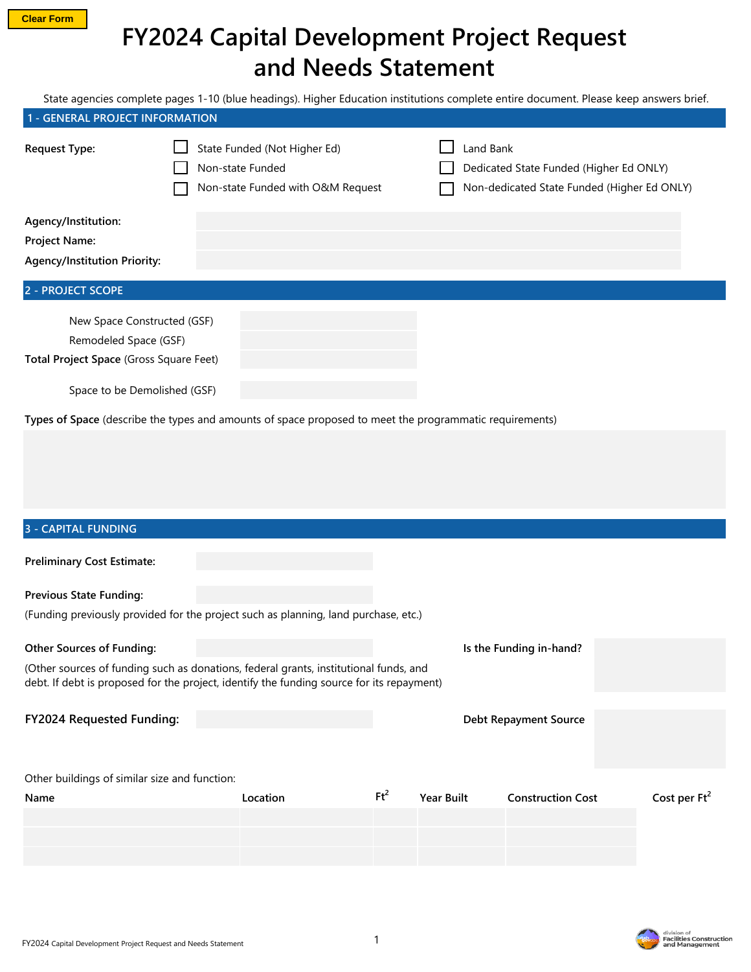## **FY2024 Capital Development Project Request and Needs Statement**

State agencies complete pages 1-10 (blue headings). Higher Education institutions complete entire document. Please keep answers brief.

| 1 - GENERAL PROJECT INFORMATION                                                                 |                                                                                       |                                                                                                     |  |  |  |
|-------------------------------------------------------------------------------------------------|---------------------------------------------------------------------------------------|-----------------------------------------------------------------------------------------------------|--|--|--|
| <b>Request Type:</b>                                                                            | State Funded (Not Higher Ed)<br>Non-state Funded<br>Non-state Funded with O&M Request | Land Bank<br>Dedicated State Funded (Higher Ed ONLY)<br>Non-dedicated State Funded (Higher Ed ONLY) |  |  |  |
| Agency/Institution:<br><b>Project Name:</b><br><b>Agency/Institution Priority:</b>              |                                                                                       |                                                                                                     |  |  |  |
| <b>2 - PROJECT SCOPE</b>                                                                        |                                                                                       |                                                                                                     |  |  |  |
| New Space Constructed (GSF)<br>Remodeled Space (GSF)<br>Total Project Space (Gross Square Feet) |                                                                                       |                                                                                                     |  |  |  |

Space to be Demolished (GSF)

**Types of Space** (describe the types and amounts of space proposed to meet the programmatic requirements)

# **Preliminary Cost Estimate: Previous State Funding:** (Funding previously provided for the project such as planning, land purchase, etc.) **Other Sources of Funding: Is the Funding in-hand?** (Other sources of funding such as donations, federal grants, institutional funds, and debt. If debt is proposed for the project, identify the funding source for its repayment) **FY2024 Requested Funding: Debt Repayment Source** Other buildings of similar size and function: **Name Location Ft<sup>2</sup> Year Built Construction Cost 3 - CAPITAL FUNDING Cost per Ft<sup>2</sup>**

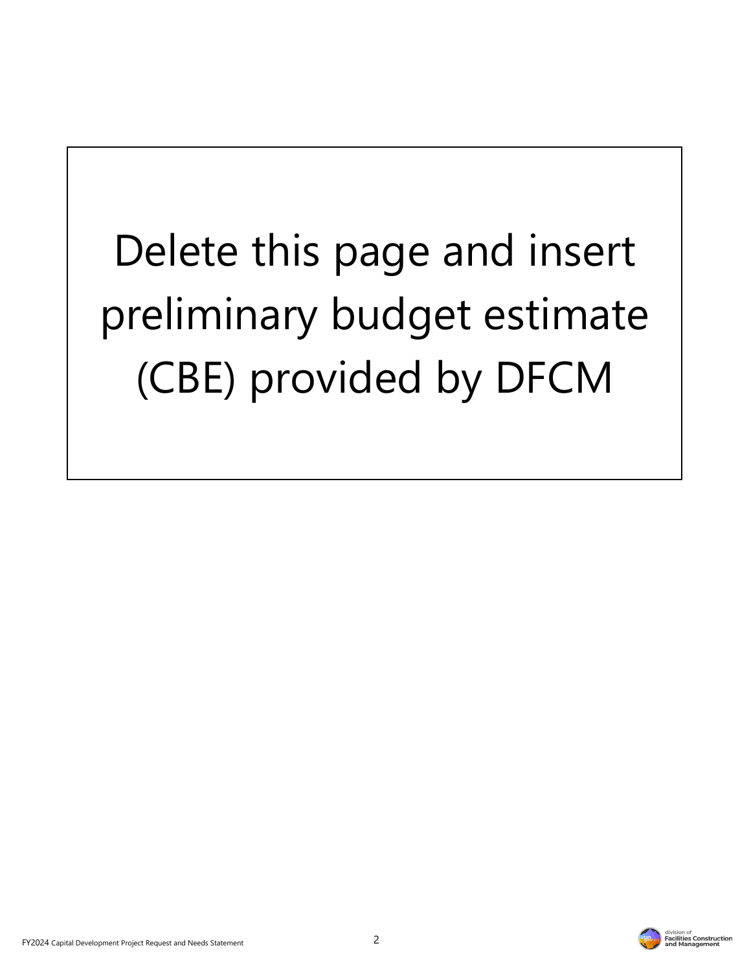Delete this page and insert preliminary budget estimate (CBE) provided by DFCM

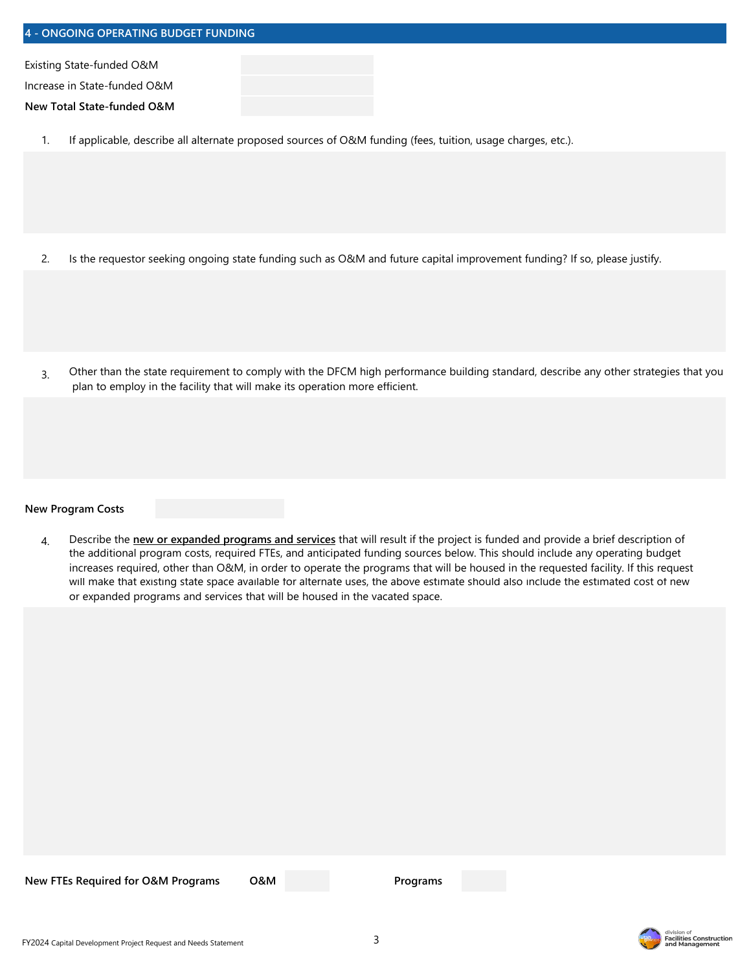| 4 - ONGOING OPERATING BUDGET FUNDING |  |  |  |  |
|--------------------------------------|--|--|--|--|
| Existing State-funded O&M            |  |  |  |  |
| Increase in State-funded O&M         |  |  |  |  |
| New Total State-funded O&M           |  |  |  |  |
|                                      |  |  |  |  |

1. If applicable, describe all alternate proposed sources of O&M funding (fees, tuition, usage charges, etc.).

- 2. Is the requestor seeking ongoing state funding such as O&M and future capital improvement funding? If so, please justify.
- 3. Other than the state requirement to comply with the DFCM high performance building standard, describe any other strategies that you plan to employ in the facility that will make its operation more efficient.

**New Program Costs**

4. Describe the **new or expanded programs and services** that will result if the project is funded and provide a brief description of the additional program costs, required FTEs, and anticipated funding sources below. This should include any operating budget increases required, other than O&M, in order to operate the programs that will be housed in the requested facility. If this request will make that existing state space available for alternate uses, the above estimate should also include the estimated cost of new or expanded programs and services that will be housed in the vacated space.

**New FTEs Required for O&M Programs O&M**

**Programs**

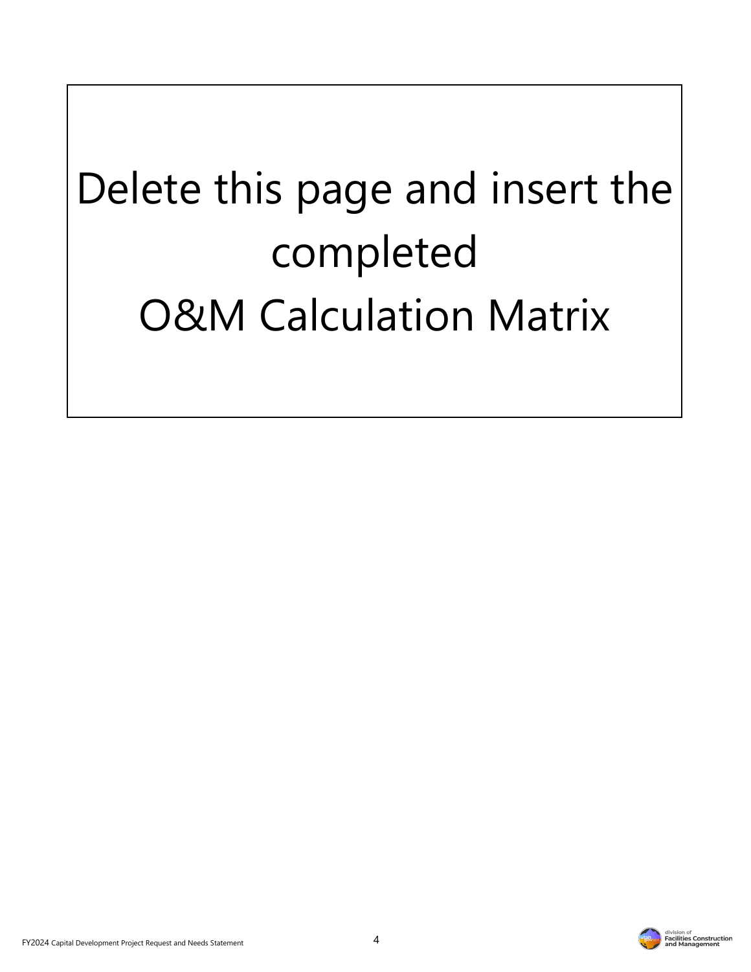# Delete this page and insert the completed O&M Calculation Matrix



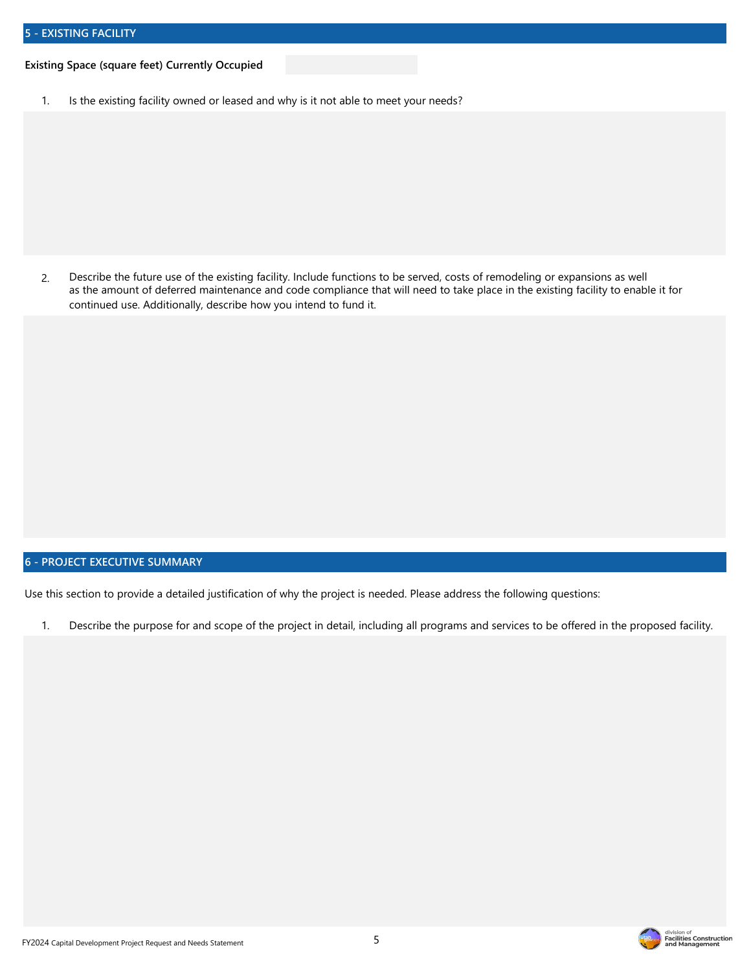#### **Existing Space (square feet) Currently Occupied**

1. Is the existing facility owned or leased and why is it not able to meet your needs?

2. Describe the future use of the existing facility. Include functions to be served, costs of remodeling or expansions as well as the amount of deferred maintenance and code compliance that will need to take place in the existing facility to enable it for continued use. Additionally, describe how you intend to fund it.

### **6 - PROJECT EXECUTIVE SUMMARY**

Use this section to provide a detailed justification of why the project is needed. Please address the following questions:

1. Describe the purpose for and scope of the project in detail, including all programs and services to be offered in the proposed facility.

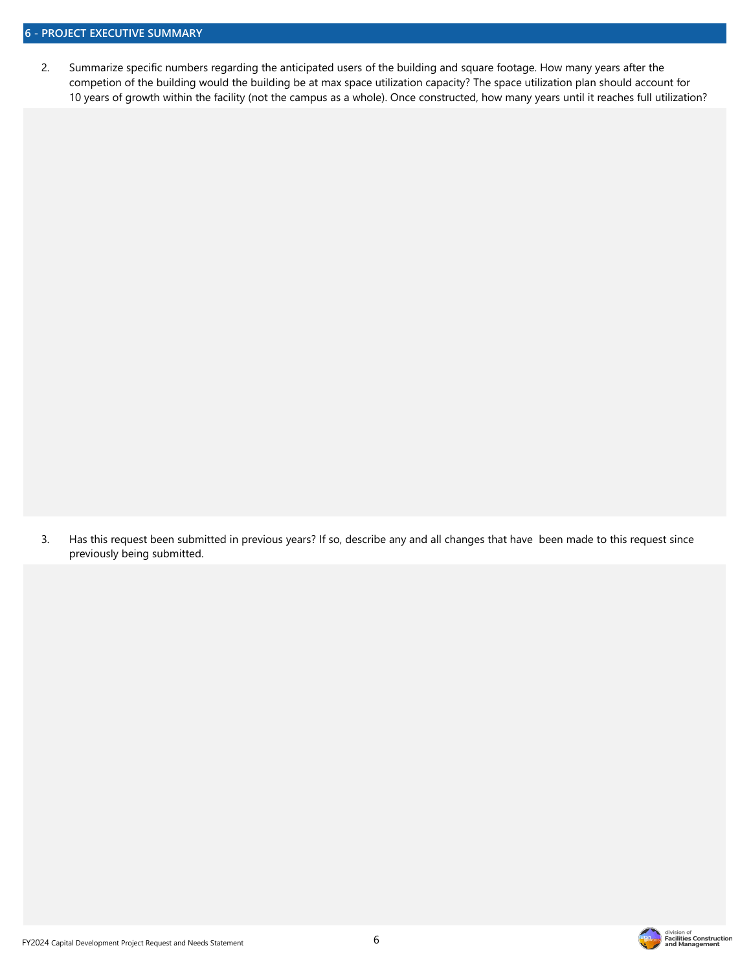2. Summarize specific numbers regarding the anticipated users of the building and square footage. How many years after the competion of the building would the building be at max space utilization capacity? The space utilization plan should account for 10 years of growth within the facility (not the campus as a whole). Once constructed, how many years until it reaches full utilization?

3. Has this request been submitted in previous years? If so, describe any and all changes that have been made to this request since previously being submitted.

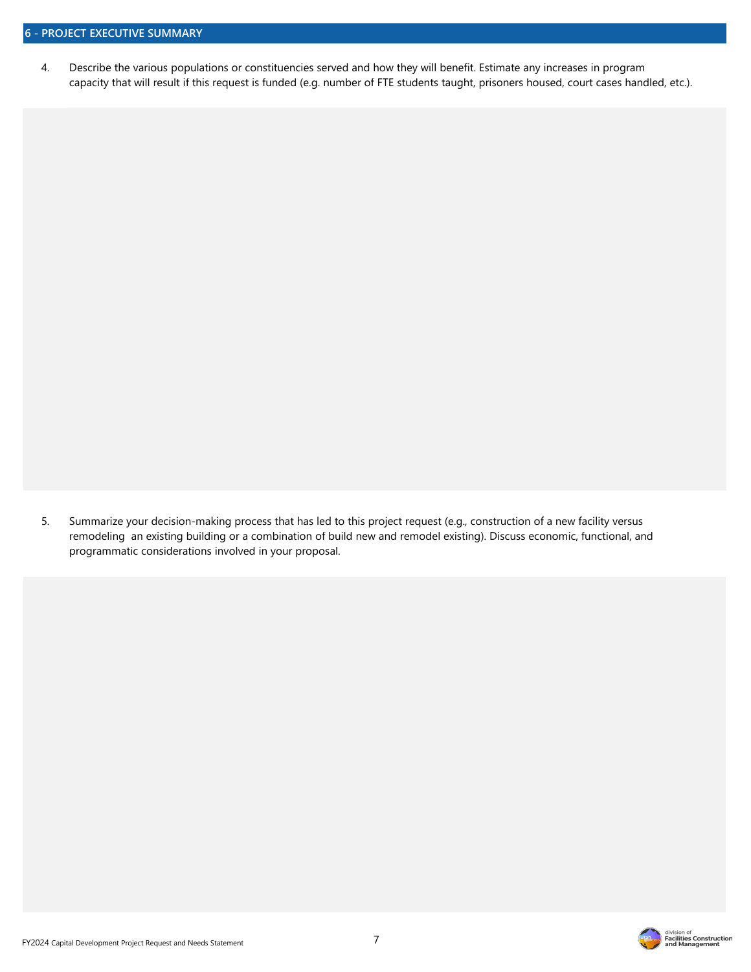4. Describe the various populations or constituencies served and how they will benefit. Estimate any increases in program capacity that will result if this request is funded (e.g. number of FTE students taught, prisoners housed, court cases handled, etc.).

5. Summarize your decision-making process that has led to this project request (e.g., construction of a new facility versus remodeling an existing building or a combination of build new and remodel existing). Discuss economic, functional, and programmatic considerations involved in your proposal.

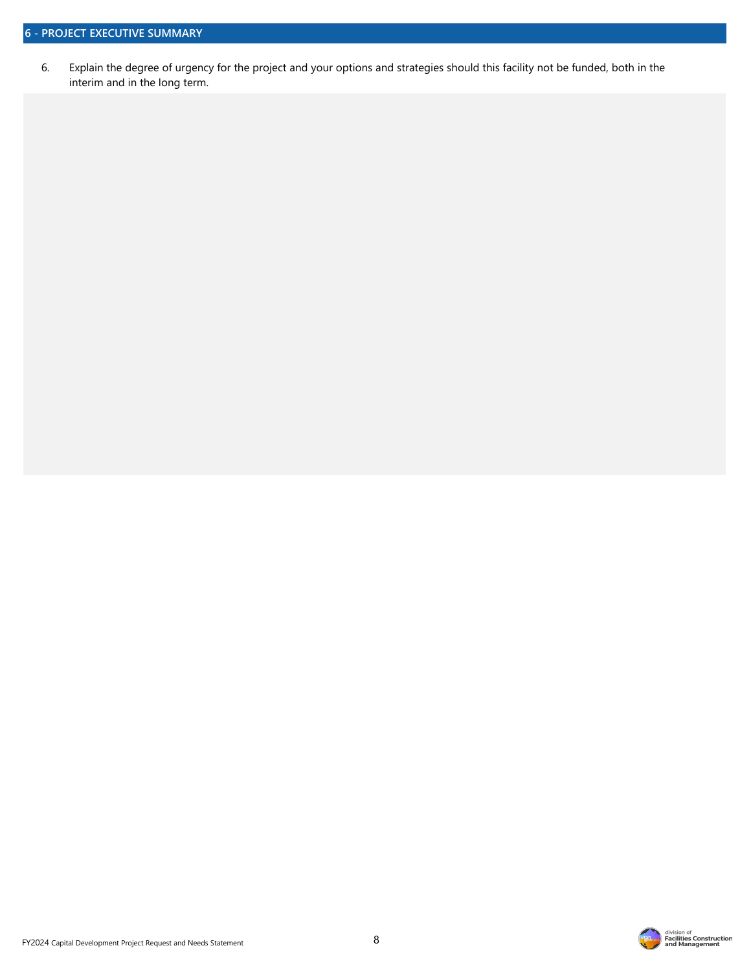6. Explain the degree of urgency for the project and your options and strategies should this facility not be funded, both in the interim and in the long term.

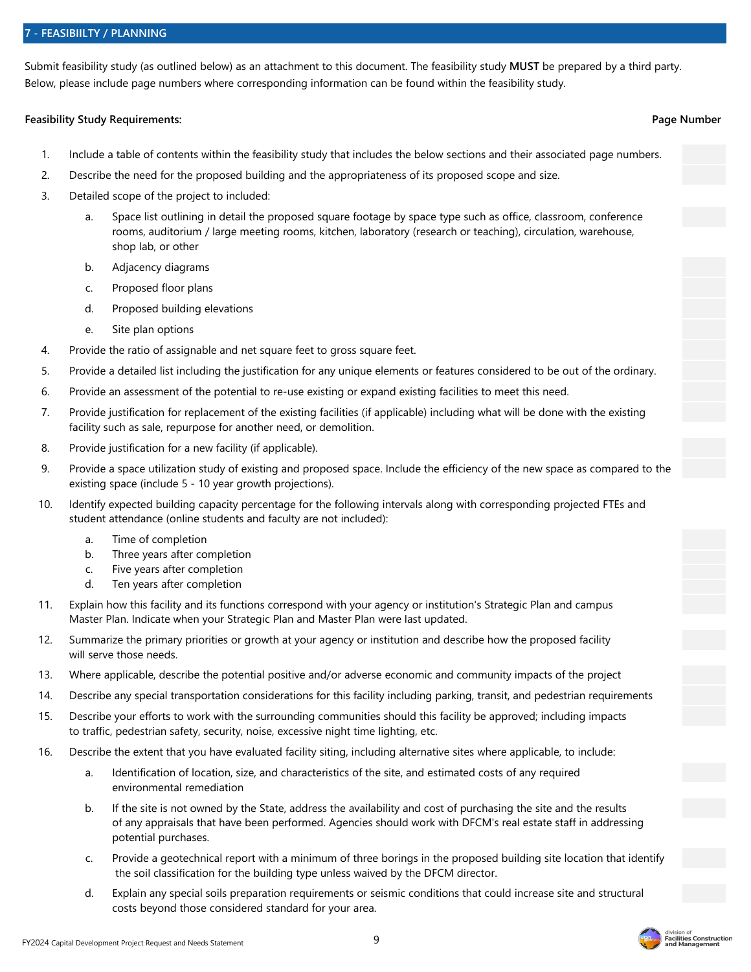#### **7 - FEASIBIILTY / PLANNING**

Submit feasibility study (as outlined below) as an attachment to this document. The feasibility study **MUST** be prepared by a third party. Below, please include page numbers where corresponding information can be found within the feasibility study.

#### **Feasibility Study Requirements: Page Number**

- 1. Include a table of contents within the feasibility study that includes the below sections and their associated page numbers.
- 2. Describe the need for the proposed building and the appropriateness of its proposed scope and size.
- 3. Detailed scope of the project to included:
	- a. Space list outlining in detail the proposed square footage by space type such as office, classroom, conference rooms, auditorium / large meeting rooms, kitchen, laboratory (research or teaching), circulation, warehouse, shop lab, or other
	- b. Adjacency diagrams
	- c. Proposed floor plans
	- d. Proposed building elevations
	- e. Site plan options
- 4. Provide the ratio of assignable and net square feet to gross square feet.
- 5. Provide a detailed list including the justification for any unique elements or features considered to be out of the ordinary.
- 6. Provide an assessment of the potential to re-use existing or expand existing facilities to meet this need.
- 7. Provide justification for replacement of the existing facilities (if applicable) including what will be done with the existing facility such as sale, repurpose for another need, or demolition.
- 8. Provide justification for a new facility (if applicable).
- 9. Provide a space utilization study of existing and proposed space. Include the efficiency of the new space as compared to the existing space (include 5 - 10 year growth projections).
- 10. Identify expected building capacity percentage for the following intervals along with corresponding projected FTEs and student attendance (online students and faculty are not included):
	- a. Time of completion
	- b. Three years after completion
	- c. Five years after completion
	- d. Ten years after completion
- 11. Explain how this facility and its functions correspond with your agency or institution's Strategic Plan and campus Master Plan. Indicate when your Strategic Plan and Master Plan were last updated.
- 12. Summarize the primary priorities or growth at your agency or institution and describe how the proposed facility will serve those needs.
- 13. Where applicable, describe the potential positive and/or adverse economic and community impacts of the project
- 14. Describe any special transportation considerations for this facility including parking, transit, and pedestrian requirements
- 15. Describe your efforts to work with the surrounding communities should this facility be approved; including impacts to traffic, pedestrian safety, security, noise, excessive night time lighting, etc.
- 16. Describe the extent that you have evaluated facility siting, including alternative sites where applicable, to include:
	- a. Identification of location, size, and characteristics of the site, and estimated costs of any required environmental remediation
	- b. If the site is not owned by the State, address the availability and cost of purchasing the site and the results of any appraisals that have been performed. Agencies should work with DFCM's real estate staff in addressing potential purchases.
	- c. Provide a geotechnical report with a minimum of three borings in the proposed building site location that identify the soil classification for the building type unless waived by the DFCM director.
	- d. Explain any special soils preparation requirements or seismic conditions that could increase site and structural costs beyond those considered standard for your area.

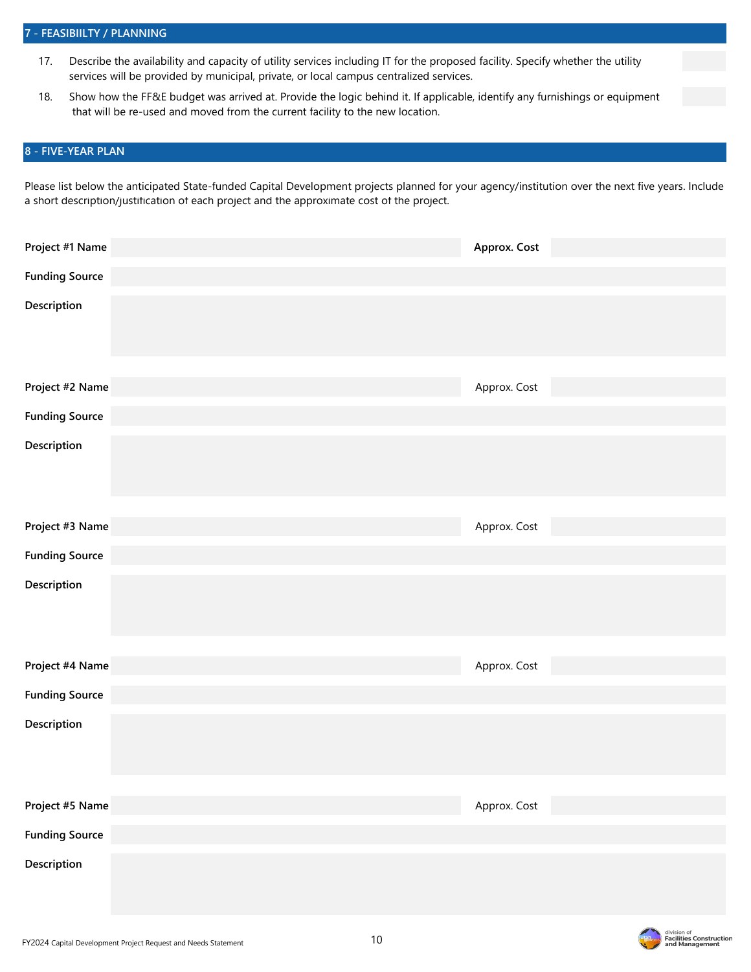- 17. Describe the availability and capacity of utility services including IT for the proposed facility. Specify whether the utility services will be provided by municipal, private, or local campus centralized services.
- 18. Show how the FF&E budget was arrived at. Provide the logic behind it. If applicable, identify any furnishings or equipment that will be re-used and moved from the current facility to the new location.

#### **8 - FIVE-YEAR PLAN**

Please list below the anticipated State-funded Capital Development projects planned for your agency/institution over the next five years. Include a short description/justification of each project and the approximate cost of the project.

| Project #1 Name       | Approx. Cost |
|-----------------------|--------------|
| <b>Funding Source</b> |              |
| Description           |              |
| Project #2 Name       | Approx. Cost |
| <b>Funding Source</b> |              |
| Description           |              |
| Project #3 Name       | Approx. Cost |
| <b>Funding Source</b> |              |
| Description           |              |
| Project #4 Name       | Approx. Cost |
| <b>Funding Source</b> |              |
| Description           |              |
| Project #5 Name       | Approx. Cost |
| <b>Funding Source</b> |              |
| Description           |              |

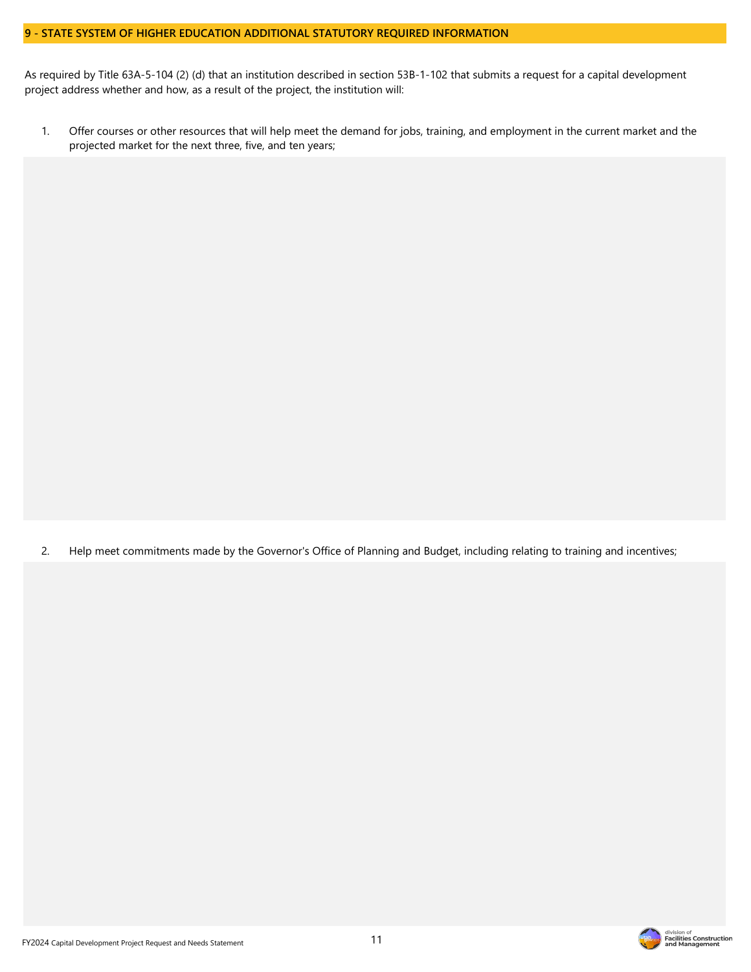#### **9 - STATE SYSTEM OF HIGHER EDUCATION ADDITIONAL STATUTORY REQUIRED INFORMATION**

As required by Title 63A-5-104 (2) (d) that an institution described in section 53B-1-102 that submits a request for a capital development project address whether and how, as a result of the project, the institution will:

1. Offer courses or other resources that will help meet the demand for jobs, training, and employment in the current market and the projected market for the next three, five, and ten years;

2. Help meet commitments made by the Governor's Office of Planning and Budget, including relating to training and incentives;

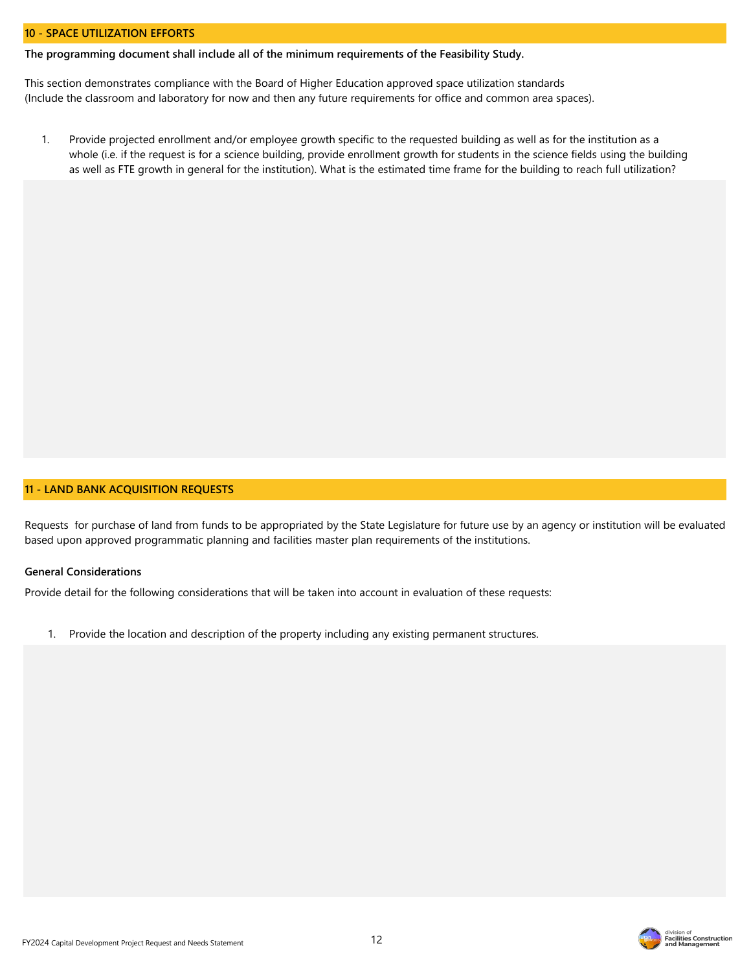#### **10 - SPACE UTILIZATION EFFORTS**

**The programming document shall include all of the minimum requirements of the Feasibility Study.**

This section demonstrates compliance with the Board of Higher Education approved space utilization standards (Include the classroom and laboratory for now and then any future requirements for office and common area spaces).

1. Provide projected enrollment and/or employee growth specific to the requested building as well as for the institution as a whole (i.e. if the request is for a science building, provide enrollment growth for students in the science fields using the building as well as FTE growth in general for the institution). What is the estimated time frame for the building to reach full utilization?

#### **11 - LAND BANK ACQUISITION REQUESTS**

Requests for purchase of land from funds to be appropriated by the State Legislature for future use by an agency or institution will be evaluated based upon approved programmatic planning and facilities master plan requirements of the institutions.

#### **General Considerations**

Provide detail for the following considerations that will be taken into account in evaluation of these requests:

1. Provide the location and description of the property including any existing permanent structures.

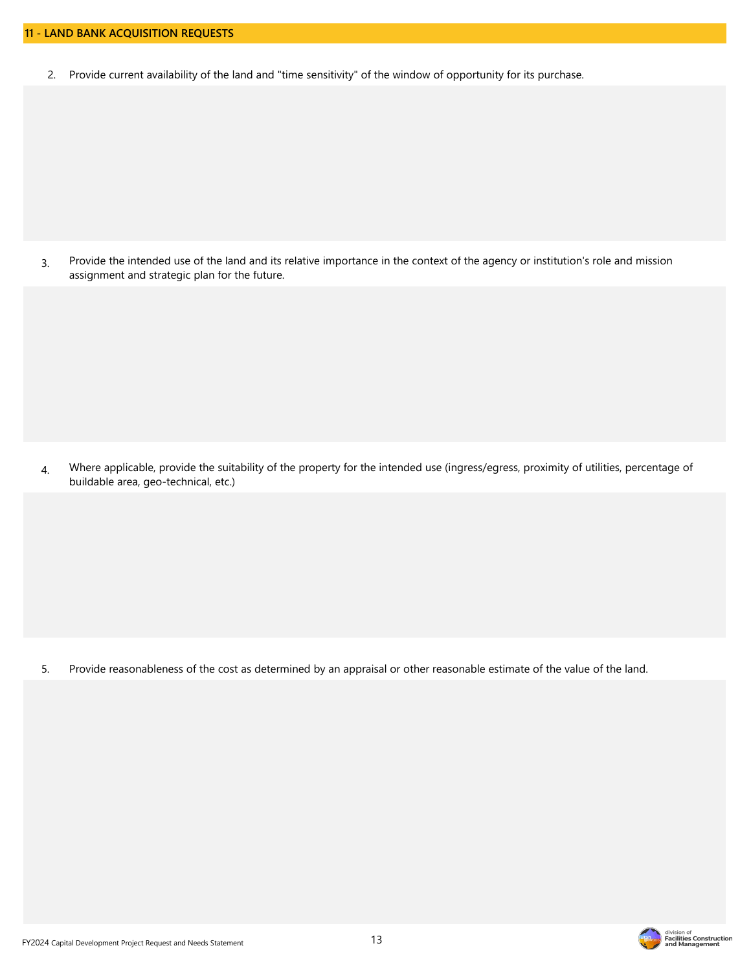2. Provide current availability of the land and "time sensitivity" of the window of opportunity for its purchase.

3. Provide the intended use of the land and its relative importance in the context of the agency or institution's role and mission assignment and strategic plan for the future.

4. Where applicable, provide the suitability of the property for the intended use (ingress/egress, proximity of utilities, percentage of buildable area, geo-technical, etc.)

5. Provide reasonableness of the cost as determined by an appraisal or other reasonable estimate of the value of the land.

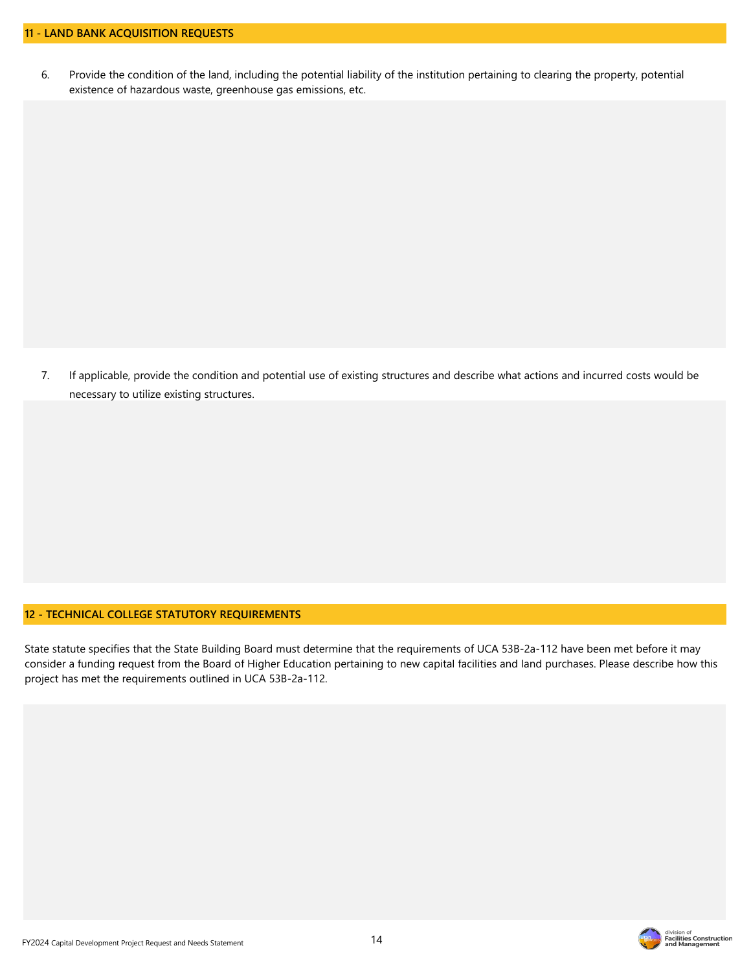6. Provide the condition of the land, including the potential liability of the institution pertaining to clearing the property, potential existence of hazardous waste, greenhouse gas emissions, etc.

7. If applicable, provide the condition and potential use of existing structures and describe what actions and incurred costs would be necessary to utilize existing structures.

#### **12 - TECHNICAL COLLEGE STATUTORY REQUIREMENTS**

State statute specifies that the State Building Board must determine that the requirements of UCA 53B-2a-112 have been met before it may consider a funding request from the Board of Higher Education pertaining to new capital facilities and land purchases. Please describe how this project has met the requirements outlined in UCA 53B-2a-112.



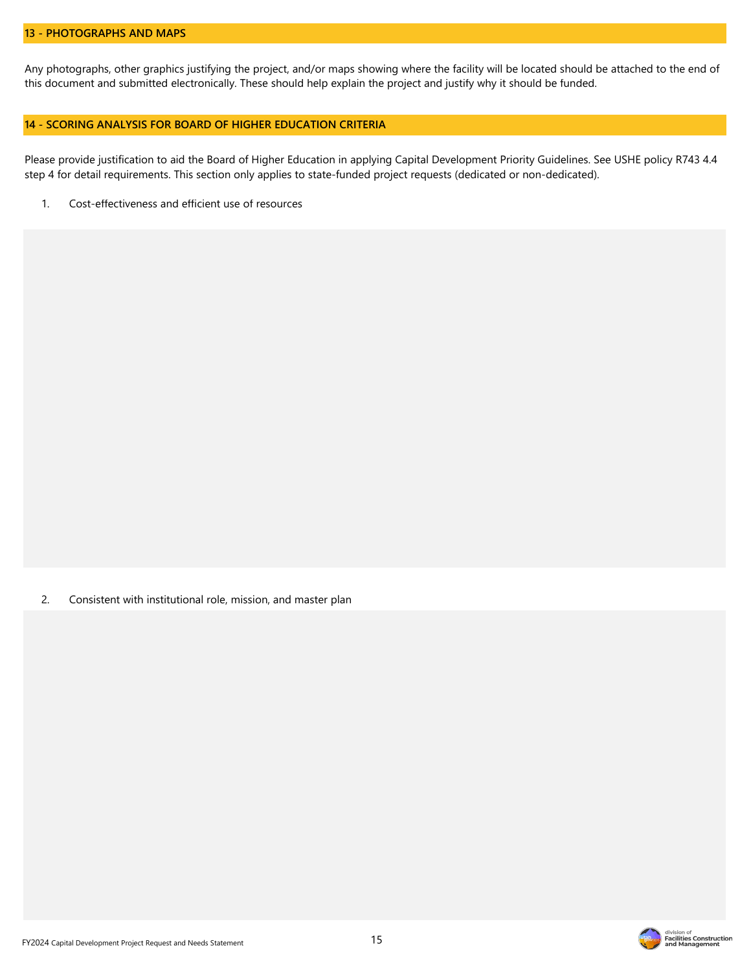#### **13 - PHOTOGRAPHS AND MAPS**

Any photographs, other graphics justifying the project, and/or maps showing where the facility will be located should be attached to the end of this document and submitted electronically. These should help explain the project and justify why it should be funded.

#### **14 - SCORING ANALYSIS FOR BOARD OF HIGHER EDUCATION CRITERIA**

Please provide justification to aid the Board of Higher Education in applying Capital Development Priority Guidelines. See USHE policy R743 4.4 step 4 for detail requirements. This section only applies to state-funded project requests (dedicated or non-dedicated).

1. Cost-effectiveness and efficient use of resources

2. Consistent with institutional role, mission, and master plan